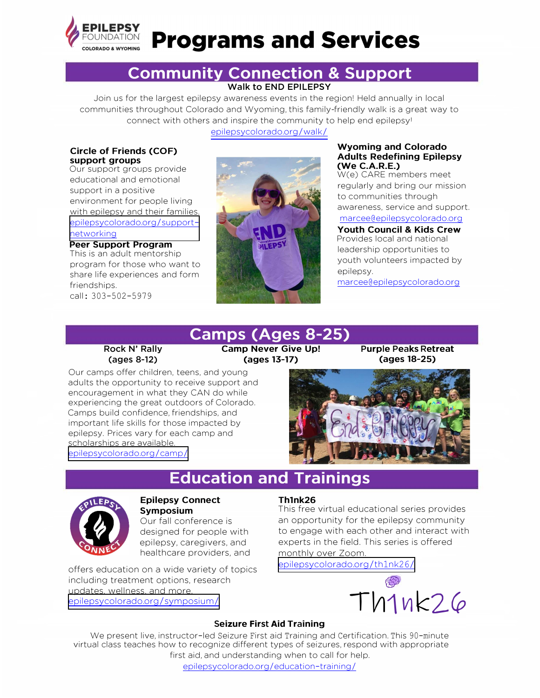

# **Programs and Services**

### **Community Connection & Support Walk to END EPILEPSY**

Join us for the largest epilepsy awareness events in the region! Held annually in local communities throughout Colorado and Wyoming, this family-friendly walk is a great way to connect with others and inspire the community to help end epilepsy!

[epilepsycolorado.org](https://www.epilepsycolorado.org/walk/)/walk/

### **Circle of Friends (COF) support groups**

Our support groups provide educational and emotional support in a positive environment for people living with epilepsy and their families. [epilepsycolorado.org](http://www.epilepsycolorado.org/support-networking/)/supportnetworking

**Peer Support Program**  This is an adult mentorship program for those who want to share life experiences and form friendships. call: 303-502-5979

> **Rock N' Rally (ages 8-12)**

scholarships are available. [epilepsycolorado.org](https://www.epilepsycolorado.org/camp/)/camp/

Our camps offer children, teens, and young adults the opportunity to receive support and encouragement in what they CAN do while experiencing the great outdoors of Colorado. Camps build confidence, friendships, and important life skills for those impacted by epilepsy. Prices vary for each camp and



### **Wyoming and Colorado Adults Redefining Epilepsy (We C.A.R.E.)**

W(e) CARE members meet regularly and bring our mission to communities through awareness, service and support. marcee@epilepsycolorado.org

**Youth Council & Kids Crew**  Provides local and national leadership opportunities to youth volunteers impacted by epilepsy.

marcee@epilepsycolorado.org

## **Camps (Ages 8-25)**

**Camp Never Give Up! (ages 13-17)** 

**Purple Peaks Retreat (ages 18-25)** 

### **Education and Trainings**



#### **Epilepsy Connect Symposium**

Our fall conference is designed for people with epilepsy, caregivers, and healthcare providers, and

offers education on a wide variety of topics including treatment options, research updates, wellness, and more. [epilepsycolorado.org](http://www.epilepsycolorado.org/symposium/)/symposium/

### **Thlnk26**

This free virtual educational series provides an opportunity for the epilepsy community to engage with each other and interact with experts in the field. This series is offered monthly over Zoom.

[epilepsycolorado.org](https://www.epilepsycolorado.org/th1nk26/)/th1nk26/



### **Seizure First Aid Training**

We present live, instructor-led Seizure First aid Training and Certification. This 90-minute virtual class teaches how to recognize different types of seizures, respond with appropriate first aid, and understanding when to call for help.

epilepsycolorado.org/education-training/